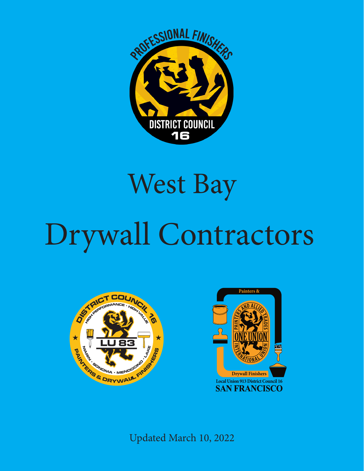

## West Bay

## Drywall Contractors rwyall Contractor





Updated March 10, 2022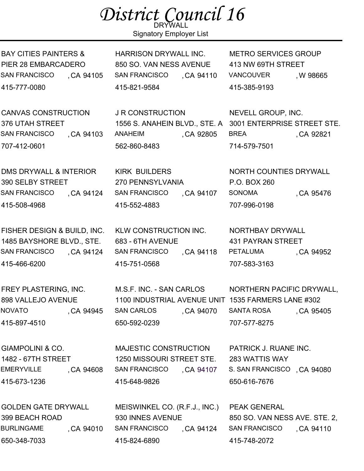## District Council 16

Signatory Employer List

BAY CITIES PAINTERS & PIER 28 EMBARCADERO SAN FRANCISCO 415-777-0080 CA 94105

CANVAS CONSTRUCTION 376 UTAH STREET SAN FRANCISCO 707-412-0601 CA 94103

DMS DRYWALL & INTERIOR 390 SELBY STREET SAN FRANCISCO 415-508-4968 ,CA 94124

FISHER DESIGN & BUILD, INC. 1485 BAYSHORE BLVD., STE. SAN FRANCISCO 415-466-6200 , CA 94124

FREY PLASTERING, INC. 898 VALLEJO AVENUE NOVATO ,CA 94945 415-897-4510

GIAMPOLINI & CO. 1482 - 67TH STREET EMERYVILLE , CA 94608 415-673-1236

GOLDEN GATE DRYWALL 399 BEACH ROAD **BURLINGAME** 650-348-7033 ,CA 94010 HARRISON DRYWALL INC. 850 SO. VAN NESS AVENUE SAN FRANCISCO 415-821-9584 ,CA 94110

J R CONSTRUCTION ANAHEIM CA 92805 , 562-860-8483

KIRK BUILDERS 270 PENNSYLVANIA SAN FRANCISCO 415-552-4883 , CA 94107

KLW CONSTRUCTION INC. 683 - 6TH AVENUE SAN FRANCISCO 415-751-0568 , CA 94118 METRO SERVICES GROUP 413 NW 69TH STREET VANCOUVER 415-385-9193 , W 98665

1556 S. ANAHEIN BLVD., STE. A 3001 ENTERPRISE STREET STE. NEVELL GROUP, INC. BREA CA 92821 , 714-579-7501

> NORTH COUNTIES DRYWALL P.O. BOX 260 SONOMA
> , CA 95476 707-996-0198

> NORTHBAY DRYWALL 431 PAYRAN STREET PETALUMA
> , CA 94952 707-583-3163

M.S.F. INC. - SAN CARLOS 1100 INDUSTRIAL AVENUE UNIT 1535 FARMERS LANE #302 SAN CARLOS 650-592-0239 CA 94070 NORTHERN PACIFIC DRYWALL, SANTA ROSA 707-577-8275 , CA 95405

MAJESTIC CONSTRUCTION 1250 MISSOURI STREET STE. SAN FRANCISCO 415-648-9826 , CA 94107

MEISWINKEL CO. (R.F.J., INC.) 930 INNES AVENUE SAN FRANCISCO 415-824-6890 ,CA 94124

PATRICK J. RUANE INC. 283 WATTIS WAY S. SAN FRANCISCO, CA 94080 650-616-7676

PEAK GENERAL 850 SO. VAN NESS AVE. STE. 2, SAN FRANCISCO 415-748-2072 , CA 94110